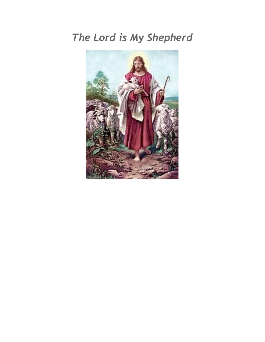## *The Lord is My Shepherd*

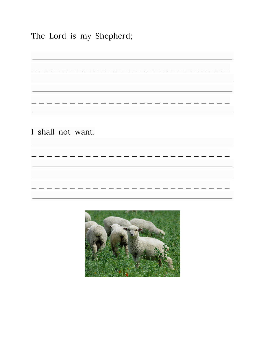The Lord is my Shepherd;



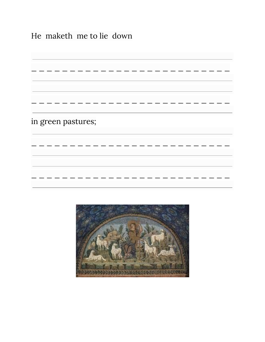He maketh me to lie down



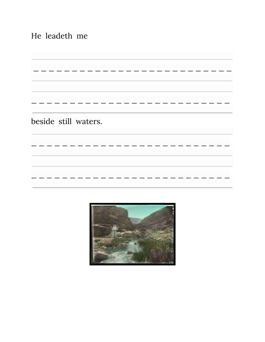He leadeth me



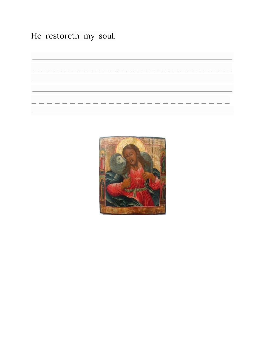He restoreth my soul.



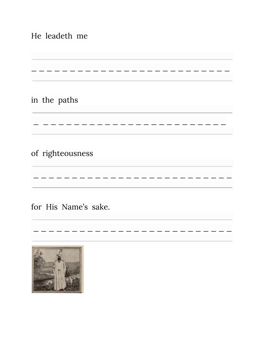## He leadeth me

\_ \_ \_ \_ \_ \_ \_ \_ \_ \_ \_ \_ \_ \_ \_ \_ \_ \_ \_ \_ \_ \_ \_ \_ \_ \_ in the paths . \_ \_ \_ \_ \_ \_ \_ \_ \_ \_ \_ \_ \_ \_ \_ \_ \_ \_ of righteousness \_ \_ \_ \_ \_ \_ \_ \_ \_ \_ \_ \_ \_ \_ \_ \_ \_ \_ \_ \_ \_ \_ \_ \_ \_ \_

\_ \_ \_ \_ \_ \_ \_ \_ \_ \_ \_ \_ \_ \_ \_ \_ \_ \_ \_ \_ \_ \_ \_ \_ \_ \_

for His Name's sake.

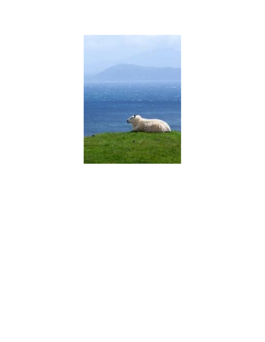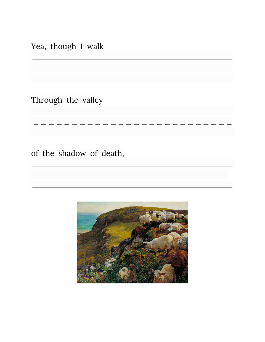Yea, though I walk

Through the valley

of the shadow of death,



\_ \_ \_ \_ \_ \_ \_ \_ \_ \_ \_ \_ \_ \_ \_ \_ \_ \_ \_ \_ \_ \_ \_ \_ \_ \_

\_ \_ \_ \_ \_ \_ \_ \_ \_ \_ \_ \_ \_ \_ \_ \_ \_ \_ \_ \_ \_ \_ \_ \_ \_ \_

\_ \_ \_ \_ \_ \_ \_ \_ \_ \_ \_ \_ \_ \_ \_ \_ \_ \_ \_ \_ \_ \_ \_ \_ \_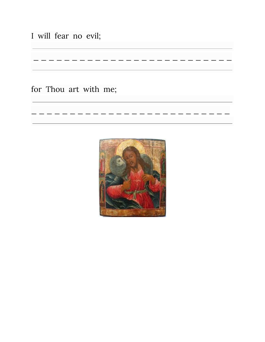I will fear no evil;

for Thou art with me;



\_ \_ \_ \_ \_ \_ \_ \_ \_ \_ \_ \_ \_ \_ \_ \_ \_ \_ \_ \_ \_ \_ \_ \_ \_ \_

\_ \_ \_ \_ \_ \_ \_ \_ \_ \_ \_ \_ \_ \_ \_ \_ \_ \_ \_ \_ \_ \_ \_ \_ \_ \_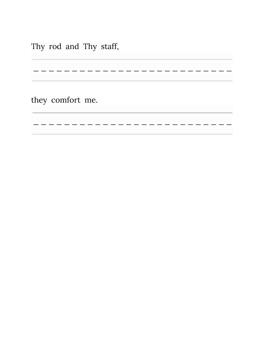Thy rod and Thy staff,

\_ \_ \_ \_ \_ \_ \_ \_ \_ \_ \_ \_ \_ \_ \_ \_ \_ \_ \_ \_ \_ \_ \_ \_ \_ \_

\_ \_ \_ \_ \_ \_ \_ \_ \_ \_ \_ \_ \_ \_ \_ \_ \_ \_ \_ \_ \_ \_ \_ \_ \_ \_

they comfort me.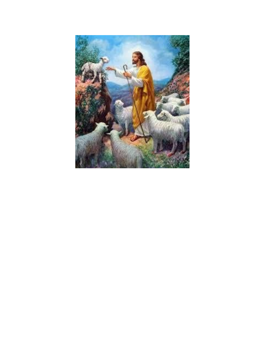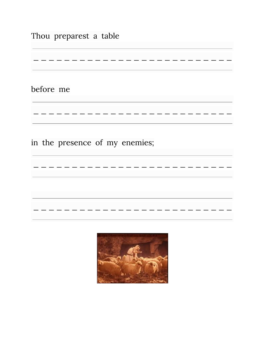

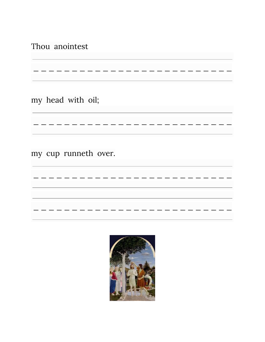Thou anointest

my head with oil;

 $-$ 

- - - - - - -

- - - - - -

- - - - -

- -

- -

 $\overline{\phantom{0}}$ 

- - - - -

 $\overline{\phantom{a}}$ 

- - -

 $-$ 

- - - - - - - - - - -

- -- -- -- -- -- -

- - - - -

- - - -

my cup runneth over.

 $-$ 

 $-$ 

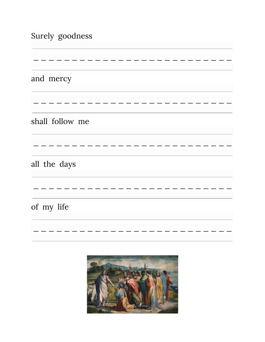Surely goodness

 $\frac{1}{2}$  and  $\frac{1}{2}$  and  $\frac{1}{2}$  and  $\frac{1}{2}$  and  $\frac{1}{2}$  and  $\frac{1}{2}$  and  $\frac{1}{2}$  and  $\frac{1}{2}$ . — — — — — — — and mercy - shall follow me - -- -- -- -- -- all the days . — — — — of my life  $- - - - - - - -$ - - - - - - - -

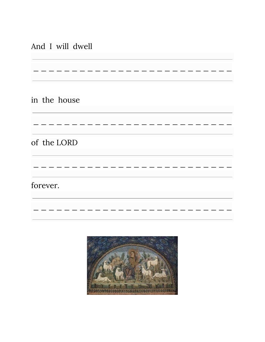And I will dwell

- - - - - - - - - - - - - - - - in the house . \_ \_ \_ \_ \_ \_ \_ \_ \_ \_ \_ \_ \_ \_ \_ \_ \_ \_ of the LORD forever.  $-$